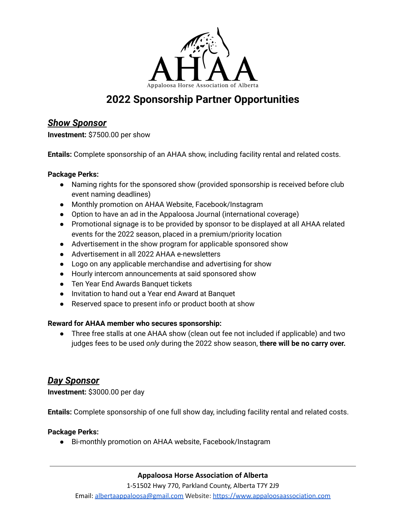

# **2022 Sponsorship Partner Opportunities**

## *Show Sponsor*

**Investment:** \$7500.00 per show

**Entails:** Complete sponsorship of an AHAA show, including facility rental and related costs.

### **Package Perks:**

- Naming rights for the sponsored show (provided sponsorship is received before club event naming deadlines)
- Monthly promotion on AHAA Website, Facebook/Instagram
- Option to have an ad in the Appaloosa Journal (international coverage)
- Promotional signage is to be provided by sponsor to be displayed at all AHAA related events for the 2022 season, placed in a premium/priority location
- Advertisement in the show program for applicable sponsored show
- Advertisement in all 2022 AHAA e-newsletters
- Logo on any applicable merchandise and advertising for show
- Hourly intercom announcements at said sponsored show
- Ten Year End Awards Banquet tickets
- Invitation to hand out a Year end Award at Banquet
- Reserved space to present info or product booth at show

### **Reward for AHAA member who secures sponsorship:**

• Three free stalls at one AHAA show (clean out fee not included if applicable) and two judges fees to be used *only* during the 2022 show season, **there will be no carry over.**

### *Day Sponsor*

**Investment:** \$3000.00 per day

**Entails:** Complete sponsorship of one full show day, including facility rental and related costs.

### **Package Perks:**

● Bi-monthly promotion on AHAA website, Facebook/Instagram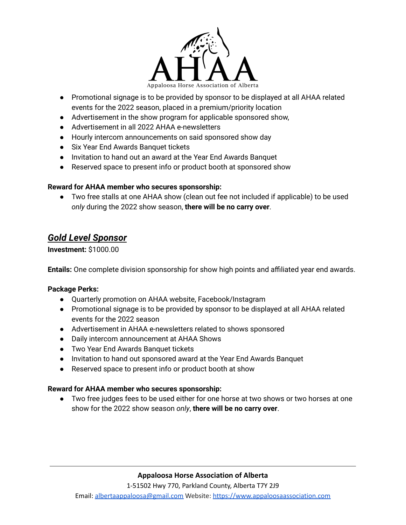

- Promotional signage is to be provided by sponsor to be displayed at all AHAA related events for the 2022 season, placed in a premium/priority location
- Advertisement in the show program for applicable sponsored show,
- Advertisement in all 2022 AHAA e-newsletters
- Hourly intercom announcements on said sponsored show day
- Six Year End Awards Banquet tickets
- Invitation to hand out an award at the Year End Awards Banquet
- Reserved space to present info or product booth at sponsored show

### **Reward for AHAA member who secures sponsorship:**

● Two free stalls at one AHAA show (clean out fee not included if applicable) to be used *only* during the 2022 show season, **there will be no carry over**.

# *Gold Level Sponsor*

### **Investment:** \$1000.00

**Entails:** One complete division sponsorship for show high points and affiliated year end awards.

### **Package Perks:**

- Quarterly promotion on AHAA website, Facebook/Instagram
- Promotional signage is to be provided by sponsor to be displayed at all AHAA related events for the 2022 season
- Advertisement in AHAA e-newsletters related to shows sponsored
- Daily intercom announcement at AHAA Shows
- Two Year End Awards Banquet tickets
- Invitation to hand out sponsored award at the Year End Awards Banquet
- Reserved space to present info or product booth at show

#### **Reward for AHAA member who secures sponsorship:**

● Two free judges fees to be used either for one horse at two shows or two horses at one show for the 2022 show season *only*, **there will be no carry over**.